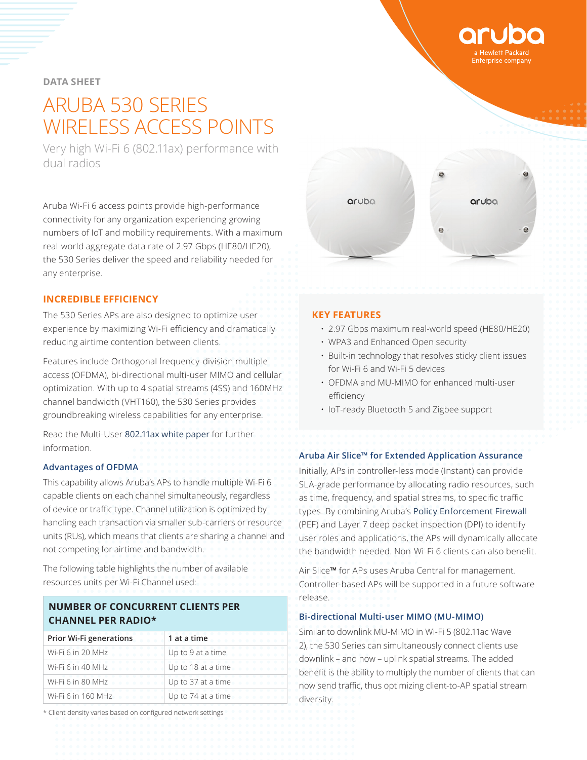## **DATA SHEET**

# ARUBA 530 SERIES WIRELESS ACCESS POINTS

Very high Wi-Fi 6 (802.11ax) performance with dual radios

Aruba Wi-Fi 6 access points provide high-performance connectivity for any organization experiencing growing numbers of IoT and mobility requirements. With a maximum real-world aggregate data rate of 2.97 Gbps (HE80/HE20), the 530 Series deliver the speed and reliability needed for any enterprise.

## **INCREDIBLE EFFICIENCY**

The 530 Series APs are also designed to optimize user experience by maximizing Wi-Fi efficiency and dramatically reducing airtime contention between clients.

Features include Orthogonal frequency-division multiple access (OFDMA), bi-directional multi-user MIMO and cellular optimization. With up to 4 spatial streams (4SS) and 160MHz channel bandwidth (VHT160), the 530 Series provides groundbreaking wireless capabilities for any enterprise.

Read the Multi-User 802.11ax white paper for further information.

## **Advantages of OFDMA**

This capability allows Aruba's APs to handle multiple Wi-Fi 6 capable clients on each channel simultaneously, regardless of device or traffic type. Channel utilization is optimized by handling each transaction via smaller sub-carriers or resource units (RUs), which means that clients are sharing a channel and not competing for airtime and bandwidth.

The following table highlights the number of available resources units per Wi-Fi Channel used:

## **NUMBER OF CONCURRENT CLIENTS PER CHANNEL PER RADIO\***

| <b>Prior Wi-Fi generations</b> | 1 at a time             |
|--------------------------------|-------------------------|
|                                | Wi-Fi 6 in 20 MHz       |
|                                | Wi-Fi 6 in 40 MHz       |
| Wi-Fi 6 in 80 MHz              | .<br>Up to 37 at a time |
| Wi-Fi 6 in 160 MHz             | .<br>Up to 74 at a time |

\* Client density varies based on configured network settings

#### **KEY FEATURES**

- 2.97 Gbps maximum real-world speed (HE80/HE20)
- WPA3 and Enhanced Open security
- Built-in technology that resolves sticky client issues for Wi-Fi 6 and Wi-Fi 5 devices
- OFDMA and MU-MIMO for enhanced multi-user efficiency
- IoT-ready Bluetooth 5 and Zigbee support

#### **Aruba Air Slice™ for Extended Application Assurance**

Initially, APs in controller-less mode (Instant) can provide SLA-grade performance by allocating radio resources, such as time, frequency, and spatial streams, to specific traffic types. By combining Aruba's [Policy Enforcement Firewall](https://www.arubanetworks.com/assets/tg/TB_PEF.pdf) (PEF) and Layer 7 deep packet inspection (DPI) to identify user roles and applications, the APs will dynamically allocate the bandwidth needed. Non-Wi-Fi 6 clients can also benefit.

Air Slice**™** for APs uses Aruba Central for management. Controller-based APs will be supported in a future software release.

#### **Bi-directional Multi-user MIMO (MU-MIMO)**

Similar to downlink MU-MIMO in Wi-Fi 5 (802.11ac Wave 2), the 530 Series can simultaneously connect clients use downlink – and now – uplink spatial streams. The added benefit is the ability to multiply the number of clients that can now send traffic, thus optimizing client-to-AP spatial stream diversity.



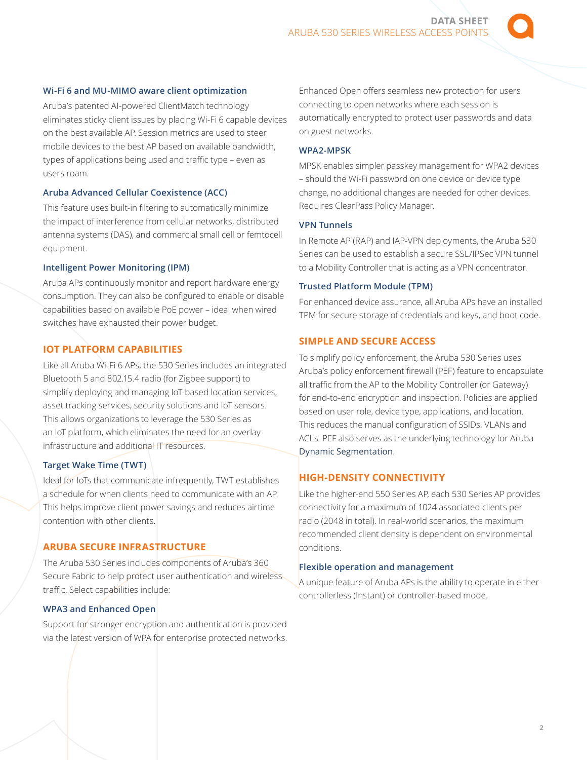Aruba's patented AI-powered ClientMatch technology eliminates sticky client issues by placing Wi-Fi 6 capable devices on the best available AP. Session metrics are used to steer mobile devices to the best AP based on available bandwidth, types of applications being used and traffic type – even as users roam.

#### **Aruba Advanced Cellular Coexistence (ACC)**

This feature uses built-in filtering to automatically minimize the impact of interference from cellular networks, distributed antenna systems (DAS), and commercial small cell or femtocell equipment.

#### **Intelligent Power Monitoring (IPM)**

Aruba APs continuously monitor and report hardware energy consumption. They can also be configured to enable or disable capabilities based on available PoE power – ideal when wired switches have exhausted their power budget.

## **IOT PLATFORM CAPABILITIES**

Like all Aruba Wi-Fi 6 APs, the 530 Series includes an integrated Bluetooth 5 and 802.15.4 radio (for Zigbee support) to simplify deploying and managing IoT-based location services, asset tracking services, security solutions and IoT sensors. This allows organizations to leverage the 530 Series as an IoT platform, which eliminates the need for an overlay infrastructure and additional IT resources.

#### **Target Wake Time (TWT)**

Ideal for IoTs that communicate infrequently, TWT establishes a schedule for when clients need to communicate with an AP. This helps improve client power savings and reduces airtime contention with other clients.

## **ARUBA SECURE INFRASTRUCTURE**

The Aruba 530 Series includes components of Aruba's 360 Secure Fabric to help protect user authentication and wireless traffic. Select capabilities include:

## **WPA3 and Enhanced Open**

Support for stronger encryption and authentication is provided via the latest version of WPA for enterprise protected networks. Enhanced Open offers seamless new protection for users connecting to open networks where each session is automatically encrypted to protect user passwords and data on guest networks.

#### **WPA2-MPSK**

MPSK enables simpler passkey management for WPA2 devices – should the Wi-Fi password on one device or device type change, no additional changes are needed for other devices. Requires ClearPass Policy Manager.

#### **VPN Tunnels**

In Remote AP (RAP) and IAP-VPN deployments, the Aruba 530 Series can be used to establish a secure SSL/IPSec VPN tunnel to a Mobility Controller that is acting as a VPN concentrator.

#### **Trusted Platform Module (TPM)**

For enhanced device assurance, all Aruba APs have an installed TPM for secure storage of credentials and keys, and boot code.

#### **SIMPLE AND SECURE ACCESS**

To simplify policy enforcement, the Aruba 530 Series uses Aruba's policy enforcement firewall (PEF) feature to encapsulate all traffic from the AP to the Mobility Controller (or Gateway) for end-to-end encryption and inspection. Policies are applied based on user role, device type, applications, and location. This reduces the manual configuration of SSIDs, VLANs and ACLs. PEF also serves as the underlying technology for Aruba [Dynamic Segmentation](https://www.arubanetworks.com/solutions/dynamic-segmentation/).

## **HIGH-DENSITY CONNECTIVITY**

Like the higher-end 550 Series AP, each 530 Series AP provides connectivity for a maximum of 1024 associated clients per radio (2048 in total). In real-world scenarios, the maximum recommended client density is dependent on environmental conditions.

#### **Flexible operation and management**

A unique feature of Aruba APs is the ability to operate in either controllerless (Instant) or controller-based mode.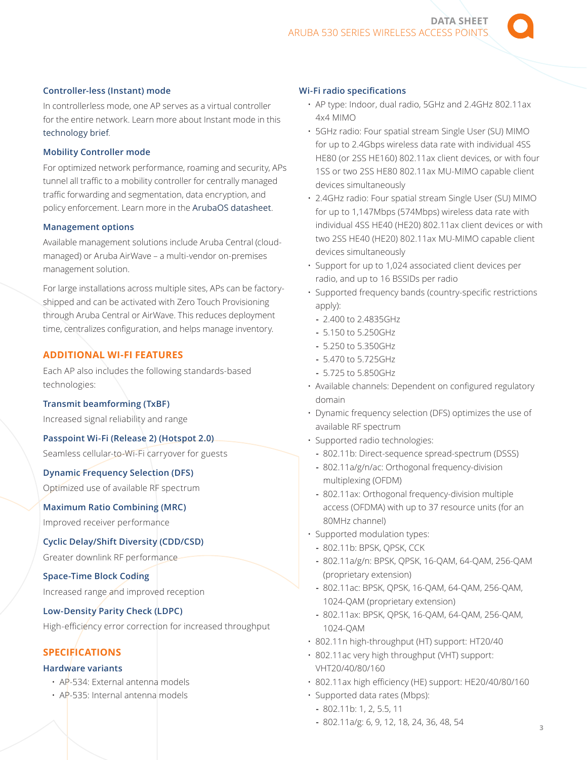#### **Controller-less (Instant) mode**

In controllerless mode, one AP serves as a virtual controller for the entire network. Learn more about Instant mode in this [technology brief](https://www.arubanetworks.com/assets/tg/TB_Instant-Wi-Fi.pdf).

#### **Mobility Controller mode**

For optimized network performance, roaming and security, APs tunnel all traffic to a mobility controller for centrally managed traffic forwarding and segmentation, data encryption, and policy enforcement. Learn more in the [ArubaOS datasheet](https://www.arubanetworks.com/assets/ds/DS_ArubaOS.pdf).

#### **Management options**

Available management solutions include Aruba Central (cloudmanaged) or Aruba AirWave – a multi-vendor on-premises management solution.

For large installations across multiple sites, APs can be factoryshipped and can be activated with Zero Touch Provisioning through Aruba Central or AirWave. This reduces deployment time, centralizes configuration, and helps manage inventory.

## **ADDITIONAL WI-FI FEATURES**

Each AP also includes the following standards-based technologies:

#### **Transmit beamforming (TxBF)**

Increased signal reliability and range

#### **Passpoint Wi-Fi (Release 2) (Hotspot 2.0)**

Seamless cellular-to-Wi-Fi carryover for guests

## **Dynamic Frequency Selection (DFS)**

Optimized use of available RF spectrum

#### **Maximum Ratio Combining (MRC)**

Improved receiver performance

#### **Cyclic Delay/Shift Diversity (CDD/CSD)**

Greater downlink RF performance

#### **Space-Time Block Coding**

Increased range and improved reception

#### **Low-Density Parity Check (LDPC)**

High-efficiency error correction for increased throughput

#### **SPECIFICATIONS**

#### **Hardware variants**

- AP-534: External antenna models
- AP-535: Internal antenna models

#### **Wi-Fi radio specifications**

- AP type: Indoor, dual radio, 5GHz and 2.4GHz 802.11ax 4x4 MIMO
- 5GHz radio: Four spatial stream Single User (SU) MIMO for up to 2.4Gbps wireless data rate with individual 4SS HE80 (or 2SS HE160) 802.11ax client devices, or with four 1SS or two 2SS HE80 802.11ax MU-MIMO capable client devices simultaneously
- 2.4GHz radio: Four spatial stream Single User (SU) MIMO for up to 1,147Mbps (574Mbps) wireless data rate with individual 4SS HE40 (HE20) 802.11ax client devices or with two 2SS HE40 (HE20) 802.11ax MU-MIMO capable client devices simultaneously
- Support for up to 1,024 associated client devices per radio, and up to 16 BSSIDs per radio
- Supported frequency bands (country-specific restrictions apply):
	- **-** 2.400 to 2.4835GHz
	- **-** 5.150 to 5.250GHz
	- **-** 5.250 to 5.350GHz
	- **-** 5.470 to 5.725GHz
	- **-** 5.725 to 5.850GHz
- Available channels: Dependent on configured regulatory domain
- Dynamic frequency selection (DFS) optimizes the use of available RF spectrum
- Supported radio technologies:
	- **-** 802.11b: Direct-sequence spread-spectrum (DSSS)
	- **-** 802.11a/g/n/ac: Orthogonal frequency-division multiplexing (OFDM)
	- **-** 802.11ax: Orthogonal frequency-division multiple access (OFDMA) with up to 37 resource units (for an 80MHz channel)
- Supported modulation types:
	- **-** 802.11b: BPSK, QPSK, CCK
	- **-** 802.11a/g/n: BPSK, QPSK, 16-QAM, 64-QAM, 256-QAM (proprietary extension)
	- **-** 802.11ac: BPSK, QPSK, 16-QAM, 64-QAM, 256-QAM, 1024-QAM (proprietary extension)
	- **-** 802.11ax: BPSK, QPSK, 16-QAM, 64-QAM, 256-QAM, 1024-QAM
- 802.11n high-throughput (HT) support: HT20/40
- 802.11ac very high throughput (VHT) support: VHT20/40/80/160
- 802.11ax high efficiency (HE) support: HE20/40/80/160
- Supported data rates (Mbps):
	- **-** 802.11b: 1, 2, 5.5, 11
	- **-** 802.11a/g: 6, 9, 12, 18, 24, 36, 48, 54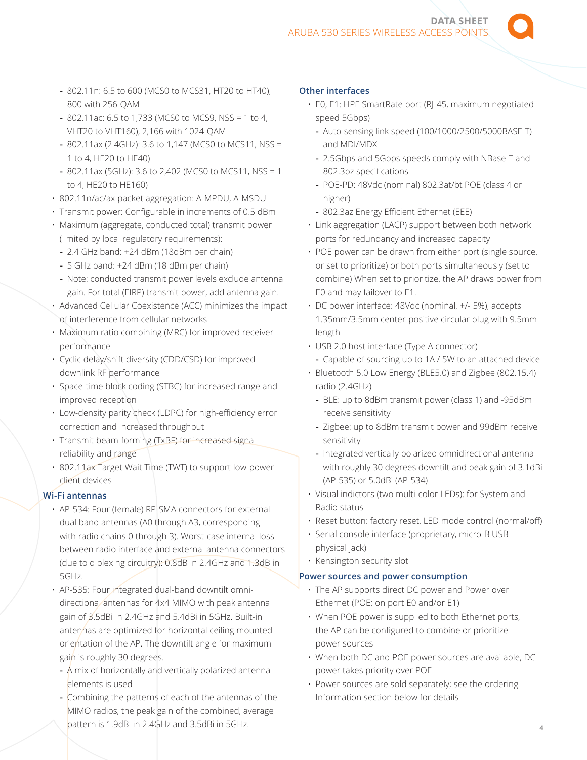**DATA SHEET**  ARUBA 530 SERIES WIRELESS ACCESS POINT

- **-** 802.11n: 6.5 to 600 (MCS0 to MCS31, HT20 to HT40), 800 with 256-QAM
- **-** 802.11ac: 6.5 to 1,733 (MCS0 to MCS9, NSS = 1 to 4, VHT20 to VHT160), 2,166 with 1024-QAM
- **-** 802.11ax (2.4GHz): 3.6 to 1,147 (MCS0 to MCS11, NSS = 1 to 4, HE20 to HE40)
- **-** 802.11ax (5GHz): 3.6 to 2,402 (MCS0 to MCS11, NSS = 1 to 4, HE20 to HE160)
- 802.11n/ac/ax packet aggregation: A-MPDU, A-MSDU
- Transmit power: Configurable in increments of 0.5 dBm
- Maximum (aggregate, conducted total) transmit power (limited by local regulatory requirements):
- **-** 2.4 GHz band: +24 dBm (18dBm per chain)
- **-** 5 GHz band: +24 dBm (18 dBm per chain)
- **-** Note: conducted transmit power levels exclude antenna gain. For total (EIRP) transmit power, add antenna gain.
- Advanced Cellular Coexistence (ACC) minimizes the impact of interference from cellular networks
- Maximum ratio combining (MRC) for improved receiver performance
- Cyclic delay/shift diversity (CDD/CSD) for improved downlink RF performance
- Space-time block coding (STBC) for increased range and improved reception
- Low-density parity check (LDPC) for high-efficiency error correction and increased throughput
- Transmit beam-forming (TxBF) for increased signal reliability and range
- 802.11ax Target Wait Time (TWT) to support low-power client devices

## **Wi-Fi antennas**

- AP-534: Four (female) RP-SMA connectors for external dual band antennas (A0 through A3, corresponding with radio chains 0 through 3). Worst-case internal loss between radio interface and external antenna connectors (due to diplexing circuitry): 0.8dB in 2.4GHz and 1.3dB in 5GHz.
- AP-535: Four integrated dual-band downtilt omnidirectional antennas for 4x4 MIMO with peak antenna gain of 3.5dBi in 2.4GHz and 5.4dBi in 5GHz. Built-in antennas are optimized for horizontal ceiling mounted orientation of the AP. The downtilt angle for maximum gain is roughly 30 degrees.
- **-** A mix of horizontally and vertically polarized antenna elements is used
- **-** Combining the patterns of each of the antennas of the MIMO radios, the peak gain of the combined, average pattern is 1.9dBi in 2.4GHz and 3.5dBi in 5GHz.

#### **Other interfaces**

- E0, E1: HPE SmartRate port (RJ-45, maximum negotiated speed 5Gbps)
	- **-** Auto-sensing link speed (100/1000/2500/5000BASE-T) and MDI/MDX
	- **-** 2.5Gbps and 5Gbps speeds comply with NBase-T and 802.3bz specifications
	- **-** POE-PD: 48Vdc (nominal) 802.3at/bt POE (class 4 or higher)
	- **-** 802.3az Energy Efficient Ethernet (EEE)
- Link aggregation (LACP) support between both network ports for redundancy and increased capacity
- POE power can be drawn from either port (single source, or set to prioritize) or both ports simultaneously (set to combine) When set to prioritize, the AP draws power from E0 and may failover to E1.
- DC power interface: 48Vdc (nominal, +/- 5%), accepts 1.35mm/3.5mm center-positive circular plug with 9.5mm length
- USB 2.0 host interface (Type A connector) **-** Capable of sourcing up to 1A / 5W to an attached device
- Bluetooth 5.0 Low Energy (BLE5.0) and Zigbee (802.15.4) radio (2.4GHz)
	- **-** BLE: up to 8dBm transmit power (class 1) and -95dBm receive sensitivity
	- **-** Zigbee: up to 8dBm transmit power and 99dBm receive sensitivity
	- **-** Integrated vertically polarized omnidirectional antenna with roughly 30 degrees downtilt and peak gain of 3.1dBi (AP-535) or 5.0dBi (AP-534)
- Visual indictors (two multi-color LEDs): for System and Radio status
- Reset button: factory reset, LED mode control (normal/off)
- Serial console interface (proprietary, micro-B USB physical jack)
- Kensington security slot

#### **Power sources and power consumption**

- The AP supports direct DC power and Power over Ethernet (POE; on port E0 and/or E1)
- When POE power is supplied to both Ethernet ports, the AP can be configured to combine or prioritize power sources
- When both DC and POE power sources are available, DC power takes priority over POE
- Power sources are sold separately; see the ordering Information section below for details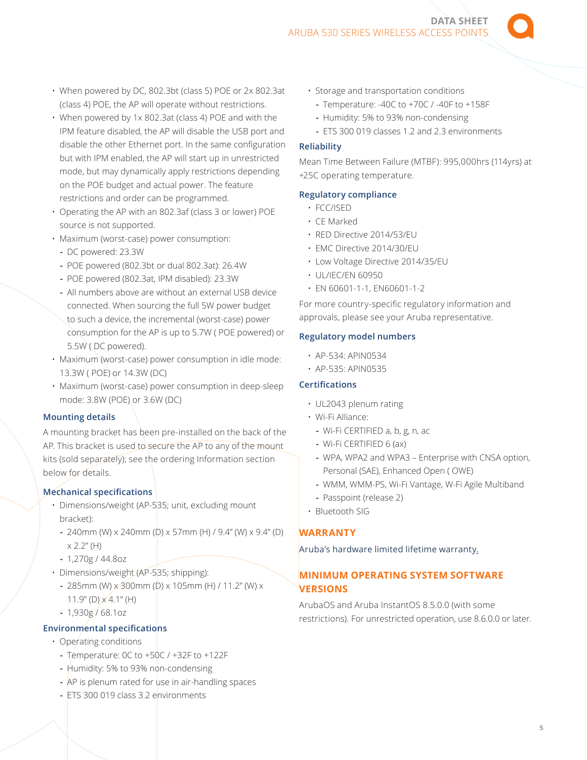- When powered by DC, 802.3bt (class 5) POE or 2x 802.3at (class 4) POE, the AP will operate without restrictions.
- When powered by 1x 802.3at (class 4) POE and with the IPM feature disabled, the AP will disable the USB port and disable the other Ethernet port. In the same configuration but with IPM enabled, the AP will start up in unrestricted mode, but may dynamically apply restrictions depending on the POE budget and actual power. The feature restrictions and order can be programmed.
- Operating the AP with an 802.3af (class 3 or lower) POE source is not supported.
- Maximum (worst-case) power consumption:
- **-** DC powered: 23.3W
- **-** POE powered (802.3bt or dual 802.3at): 26.4W
- **-** POE powered (802.3at, IPM disabled): 23.3W
- **-** All numbers above are without an external USB device connected. When sourcing the full 5W power budget
- to such a device, the incremental (worst-case) power consumption for the AP is up to 5.7W ( POE powered) or 5.5W ( DC powered).
- Maximum (worst-case) power consumption in idle mode: 13.3W ( POE) or 14.3W (DC)
- Maximum (worst-case) power consumption in deep-sleep mode: 3.8W (POE) or 3.6W (DC)

### **Mounting details**

A mounting bracket has been pre-installed on the back of the AP. This bracket is used to secure the AP to any of the mount kits (sold separately); see the ordering Information section below for details.

## **Mechanical specifications**

- Dimensions/weight (AP-535; unit, excluding mount bracket):
- **-** 240mm (W) x 240mm (D) x 57mm (H) / 9.4" (W) x 9.4" (D)  $x 2.2$ " (H)
- **-** 1,270g / 44.8oz
- Dimensions/weight (AP-535; shipping):
	- **-** 285mm (W) x 300mm (D) x 105mm (H) / 11.2" (W) x  $11.9''$  (D)  $\times$  4.1" (H)
	- **-** 1,930g / 68.1oz

## **Environmental specifications**

- Operating conditions
	- **-** Temperature: 0C to +50C / +32F to +122F
	- **-** Humidity: 5% to 93% non-condensing
	- **-** AP is plenum rated for use in air-handling spaces
	- **-** ETS 300 019 class 3.2 environments
- Storage and transportation conditions
	- **-** Temperature: -40C to +70C / -40F to +158F
	- **-** Humidity: 5% to 93% non-condensing
	- **-** ETS 300 019 classes 1.2 and 2.3 environments

#### **Reliability**

Mean Time Between Failure (MTBF): 995,000hrs (114yrs) at +25C operating temperature.

## **Regulatory compliance**

- FCC/ISED
- CE Marked
- RED Directive 2014/53/EU
- EMC Directive 2014/30/EU
- Low Voltage Directive 2014/35/EU
- UL/IEC/EN 60950
- EN 60601-1-1, EN60601-1-2

For more country-specific regulatory information and approvals, please see your Aruba representative.

#### **Regulatory model numbers**

- AP-534: APIN0534
- AP-535: APIN0535

#### **Certifications**

- UL2043 plenum rating
- Wi-Fi Alliance:
	- **-** Wi-Fi CERTIFIED a, b, g, n, ac
	- **-** Wi-Fi CERTIFIED 6 (ax)
	- **-** WPA, WPA2 and WPA3 Enterprise with CNSA option, Personal (SAE), Enhanced Open ( OWE)
	- **-** WMM, WMM-PS, Wi-Fi Vantage, W-Fi Agile Multiband
	- **-** Passpoint (release 2)
- Bluetooth SIG

## **WARRANTY**

[Aruba's hardware limited lifetime warranty.](https://www.arubanetworks.com/support-services/product-warranties/)

## **MINIMUM OPERATING SYSTEM SOFTWARE VERSIONS**

ArubaOS and Aruba InstantOS 8.5.0.0 (with some restrictions). For unrestricted operation, use 8.6.0.0 or later.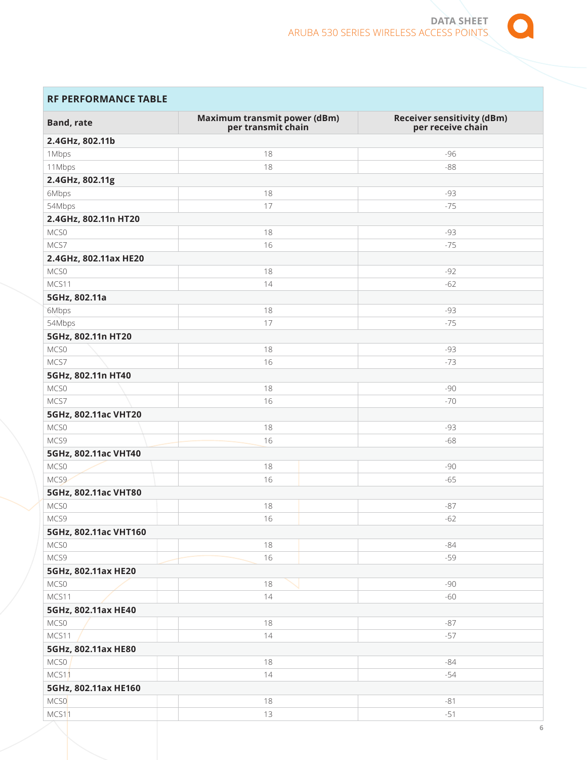

## **RF PERFORMANCE TABLE**

| <b>Band, rate</b>     | <b>Maximum transmit power (dBm)</b><br>per transmit chain | <b>Receiver sensitivity (dBm)</b><br>per receive chain |
|-----------------------|-----------------------------------------------------------|--------------------------------------------------------|
| 2.4GHz, 802.11b       |                                                           |                                                        |
| 1Mbps                 | 18                                                        | $-96$                                                  |
| 11Mbps                | 18                                                        | $-88$                                                  |
| 2.4GHz, 802.11g       |                                                           |                                                        |
| 6Mbps                 | 18                                                        | -93                                                    |
| 54Mbps                | 17                                                        | $-75$                                                  |
| 2.4GHz, 802.11n HT20  |                                                           |                                                        |
| MCS0                  | 18                                                        | -93                                                    |
| MCS7                  | 16                                                        | $-75$                                                  |
| 2.4GHz, 802.11ax HE20 |                                                           |                                                        |
| MCS0                  | 18                                                        | $-92$                                                  |
| MCS11                 | 14                                                        | $-62$                                                  |
| 5GHz, 802.11a         |                                                           |                                                        |
| 6Mbps                 | 18                                                        | -93                                                    |
| 54Mbps                | 17                                                        | $-75$                                                  |
| 5GHz, 802.11n HT20    |                                                           |                                                        |
| MCS0                  | 18                                                        | -93                                                    |
| MCS7                  | 16                                                        | $-73$                                                  |
| 5GHz, 802.11n HT40    |                                                           |                                                        |
| MCS0                  | 18                                                        | $-90$                                                  |
| MCS7                  | 16                                                        | $-70$                                                  |
| 5GHz, 802.11ac VHT20  |                                                           |                                                        |
| MCS0                  | 18                                                        | -93                                                    |
| MCS9                  | 16                                                        | $-68$                                                  |
| 5GHz, 802.11ac VHT40  |                                                           |                                                        |
| MCS0                  | 18                                                        | -90                                                    |
| MCS9                  | 16                                                        | $-65$                                                  |
| 5GHz, 802.11ac VHT80  |                                                           |                                                        |
| MCS0                  | 18                                                        | $-87$                                                  |
| MCS9                  | 16                                                        | $-62$                                                  |
| 5GHz, 802.11ac VHT160 |                                                           |                                                        |
| MCS0                  | 18                                                        | $-84$                                                  |
| MCS9                  | 16                                                        | $-59$                                                  |
| 5GHz, 802.11ax HE20   |                                                           |                                                        |
| MCS0                  | 18                                                        | $-90$                                                  |
| MCS11                 | 14                                                        | $-60$                                                  |
| 5GHz, 802.11ax HE40   |                                                           |                                                        |
| MCS0                  | 18                                                        | $-87$                                                  |
| MCS11                 | 14                                                        | $-57$                                                  |
| 5GHz, 802.11ax HE80   |                                                           |                                                        |
| MCSO                  | 18                                                        | $-84$                                                  |
| MCS11                 | 14                                                        | $-54$                                                  |
| 5GHz, 802.11ax HE160  |                                                           |                                                        |
| MCS0                  | 18                                                        | $-81$                                                  |
| MCS11                 | 13                                                        | $-51$                                                  |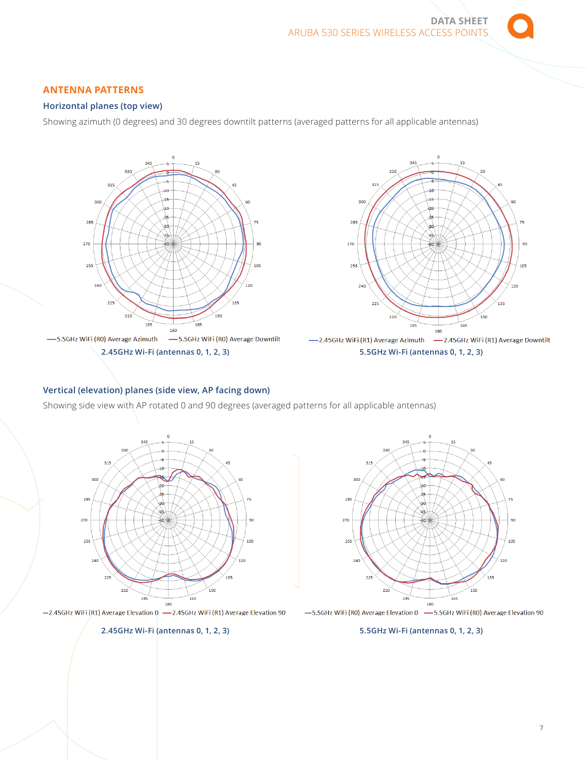## **ANTENNA PATTERNS**

## **Horizontal planes (top view)**

Showing azimuth (0 degrees) and 30 degrees downtilt patterns (averaged patterns for all applicable antennas)



## **Vertical (elevation) planes (side view, AP facing down)**

Showing side view with AP rotated 0 and 90 degrees (averaged patterns for all applicable antennas)



-2.45GHz WiFi (R1) Average Elevation 0 -2.45GHz WiFi (R1) Average Elevation 90

#### **2.45GHz Wi-Fi (antennas 0, 1, 2, 3)**



-5.5GHz WiFi (RO) Average Elevation 0 -S.5GHz WiFi (RO) Average Elevation 90

#### **5.5GHz Wi-Fi (antennas 0, 1, 2, 3)**